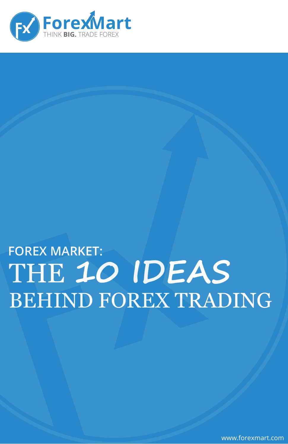

### **FOREX MARKET:** THE 10 IDEAS **BEHIND FOREX TRADING**

www.forexmart.com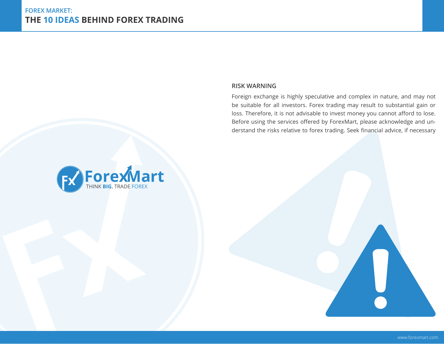#### **Risk Warning**

Foreign exchange is highly speculative and complex in nature, and may not be suitable for all investors. Forex trading may result to substantial gain or loss. Therefore, it is not advisable to invest money you cannot afford to lose. Before using the services offered by ForexMart, please acknowledge and understand the risks relative to forex trading. Seek financial advice, if necessary

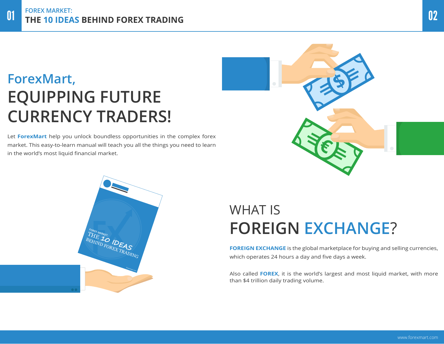# **ForexMart, EQUIPPING FUTURE CURRENCY TRADERS!**

Let **ForexMart** help you unlock boundless opportunities in the complex forex market. This easy-to-learn manual will teach you all the things you need to learn in the world's most liquid financial market.





### WHAT IS **FOREIGN EXCHANGE**?

**FOREIGN EXCHANGE** is the global marketplace for buying and selling currencies, which operates 24 hours a day and five days a week.

Also called **FOREX**, it is the world's largest and most liquid market, with more than \$4 trillion daily trading volume.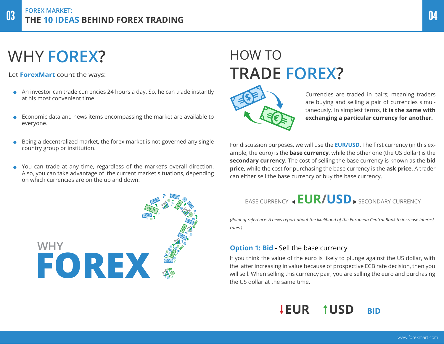# WHY **FOREX?**

Let **ForexMart** count the ways:

- An investor can trade currencies 24 hours a day. So, he can trade instantly at his most convenient time.
- Economic data and news items encompassing the market are available to everyone.
- Being a decentralized market, the forex market is not governed any single country group or institution.
- You can trade at any time, regardless of the market's overall direction. Also, you can take advantage of the current market situations, depending on which currencies are on the up and down.



# HOW TO **TRADE FOREX?**



Currencies are traded in pairs; meaning traders are buying and selling a pair of currencies simultaneously. In simplest terms, **it is the same with exchanging a particular currency for another.**

For discussion purposes, we will use the **EUR/USD**. The first currency (in this example, the euro) is the **base currency**, while the other one (the US dollar) is the **secondary currency**. The cost of selling the base currency is known as the **bid price**, while the cost for purchasing the base currency is the **ask price**. A trader can either sell the base currency or buy the base currency.

### BASE CURRENCY < EUR/USD > SECONDARY CURRENCY

*(Point of reference: A news report about the likelihood of the European Central Bank to increase interest rates.)*

#### **Option 1: Bid** - Sell the base currency

If you think the value of the euro is likely to plunge against the US dollar, with the latter increasing in value because of prospective ECB rate decision, then you will sell. When selling this currency pair, you are selling the euro and purchasing the US dollar at the same time.

### **LEUR TUSD BID**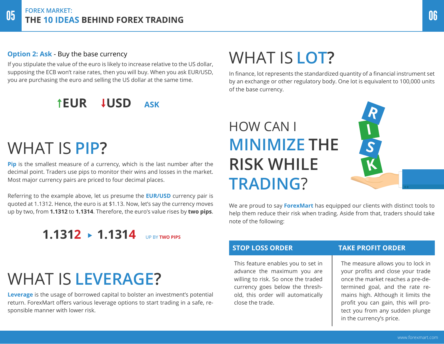#### **Option 2: Ask** - Buy the base currency

If you stipulate the value of the euro is likely to increase relative to the US dollar, supposing the ECB won't raise rates, then you will buy. When you ask EUR/USD, you are purchasing the euro and selling the US dollar at the same time.

### **TEUR LUSD ASK**

# WHAT IS **PIP?**

**Pip** is the smallest measure of a currency, which is the last number after the decimal point. Traders use pips to monitor their wins and losses in the market. Most major currency pairs are priced to four decimal places.

Referring to the example above, let us presume the **EUR/USD** currency pair is quoted at 1.1312. Hence, the euro is at \$1.13. Now, let's say the currency moves up by two, from **1.1312** to **1.1314**. Therefore, the euro's value rises by **two pips**.

### **1.1312 1.1314** up by **two pips**

# WHAT IS **LEVERAGE?**

**Leverage** is the usage of borrowed capital to bolster an investment's potential return. ForexMart offers various leverage options to start trading in a safe, responsible manner with lower risk.

# WHAT IS **LOT?**

In finance, lot represents the standardized quantity of a financial instrument set by an exchange or other regulatory body. One lot is equivalent to 100,000 units of the base currency.

# HOW CAN I **MINIMIZE THE RISK WHILE TRADING**?

We are proud to say **ForexMart** has equipped our clients with distinct tools to help them reduce their risk when trading. Aside from that, traders should take note of the following:

This feature enables you to set in advance the maximum you are willing to risk. So once the traded currency goes below the threshold, this order will automatically close the trade.

#### **STOP LOSS ORDER Take Profit Order**

**R**

**I**

**S**

**K**

The measure allows you to lock in your profits and close your trade once the market reaches a pre-determined goal, and the rate remains high. Although it limits the profit you can gain, this will protect you from any sudden plunge in the currency's price.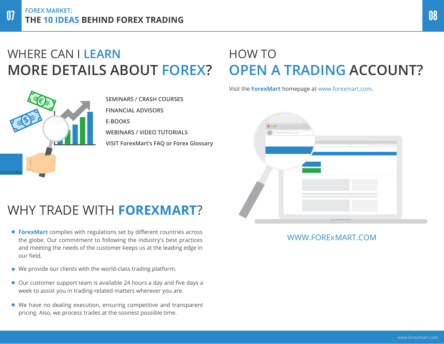### WHERE CAN I **LEARN MORE DETAILS ABOUT FOREX?**



**SEMINARS / CRASH COURSES FINANCIAL ADVISORS E-BOOKS WEBINARS / VIDEO TUTORIALS VISIT ForexMart's FAQ or Forex Glossary**

### HOW TO **OPEN A TRADING ACCOUNT?**

Visit the **ForexMart** homepage at www.forexmart.com.



### WHY TRADE WITH **FOREXMART**?

- . the globe. Our commitment to following the industry's best practices **ForexMart** complies with regulations set by different countries across and meeting the needs of the customer keeps us at the leading edge in our field.
- We provide our clients with the world-class trading platform.
- Our customer support team is available 24 hours a day and five days a week to assist you in trading-related matters wherever you are.
- We have no dealing execution, ensuring competitive and transparent pricing. Also, we process trades at the soonest possible time.

#### WWW.FORExMART.COM